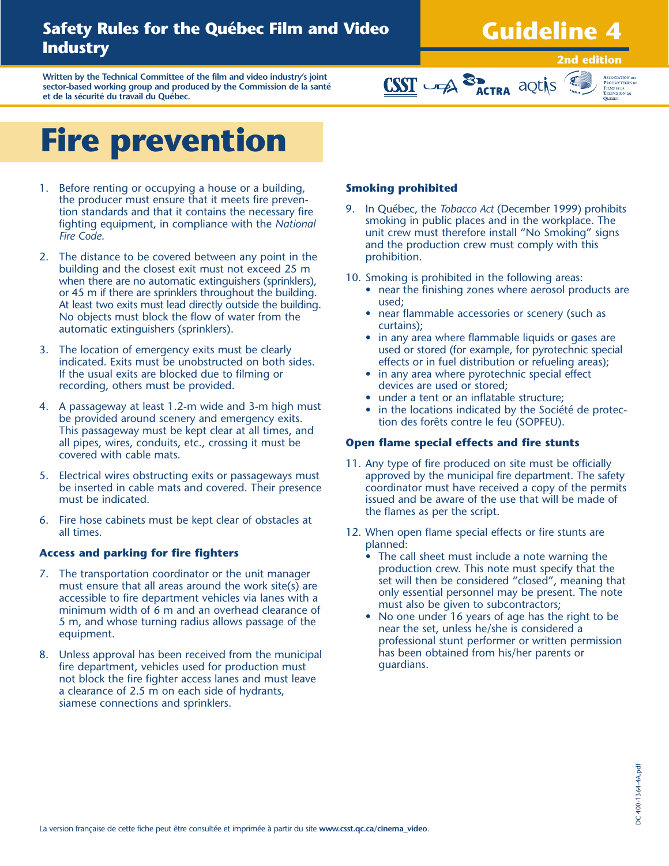### **Safety Rules for the Québec Film and Video Industry**

## **Guideline 4**

**2nd edition**

**Written by the Technical Committee of the film and video industry's joint sector-based working group and produced by the Commission de la santé et de la sécurité du travail du Québec.**

# **Fire prevention**

- 1. Before renting or occupying a house or a building, the producer must ensure that it meets fire prevention standards and that it contains the necessary fire fighting equipment, in compliance with the *National Fire Code*.
- 2. The distance to be covered between any point in the building and the closest exit must not exceed 25 m when there are no automatic extinguishers (sprinklers), or 45 m if there are sprinklers throughout the building. At least two exits must lead directly outside the building. No objects must block the flow of water from the automatic extinguishers (sprinklers).
- 3. The location of emergency exits must be clearly indicated. Exits must be unobstructed on both sides. If the usual exits are blocked due to filming or recording, others must be provided.
- 4. A passageway at least 1.2-m wide and 3-m high must be provided around scenery and emergency exits. This passageway must be kept clear at all times, and all pipes, wires, conduits, etc., crossing it must be covered with cable mats.
- 5. Electrical wires obstructing exits or passageways must be inserted in cable mats and covered. Their presence must be indicated.
- 6. Fire hose cabinets must be kept clear of obstacles at all times.

#### **Access and parking for fire fighters**

- 7. The transportation coordinator or the unit manager must ensure that all areas around the work site(s) are accessible to fire department vehicles via lanes with a minimum width of 6 m and an overhead clearance of 5 m, and whose turning radius allows passage of the equipment.
- Unless approval has been received from the municipal fire department, vehicles used for production must not block the fire fighter access lanes and must leave a clearance of 2.5 m on each side of hydrants, siamese connections and sprinklers.

#### **Smoking prohibited**

- 9. In Québec, the *Tobacco Act* (December 1999) prohibits smoking in public places and in the workplace. The unit crew must therefore install "No Smoking" signs and the production crew must comply with this prohibition.
- 10. Smoking is prohibited in the following areas:

**CSST** UPA **SP** ACTRA aQUIS

- near the finishing zones where aerosol products are used;
- near flammable accessories or scenery (such as curtains);
- in any area where flammable liquids or gases are used or stored (for example, for pyrotechnic special effects or in fuel distribution or refueling areas);
- in any area where pyrotechnic special effect devices are used or stored;
- under a tent or an inflatable structure;
- in the locations indicated by the Société de protection des forêts contre le feu (SOPFEU).

#### **Open flame special effects and fire stunts**

- 11. Any type of fire produced on site must be officially approved by the municipal fire department. The safety coordinator must have received a copy of the permits issued and be aware of the use that will be made of the flames as per the script.
- 12. When open flame special effects or fire stunts are planned:
	- The call sheet must include a note warning the production crew. This note must specify that the set will then be considered "closed", meaning that only essential personnel may be present. The note must also be given to subcontractors;
	- No one under 16 years of age has the right to be near the set, unless he/she is considered a professional stunt performer or written permission has been obtained from his/her parents or guardians.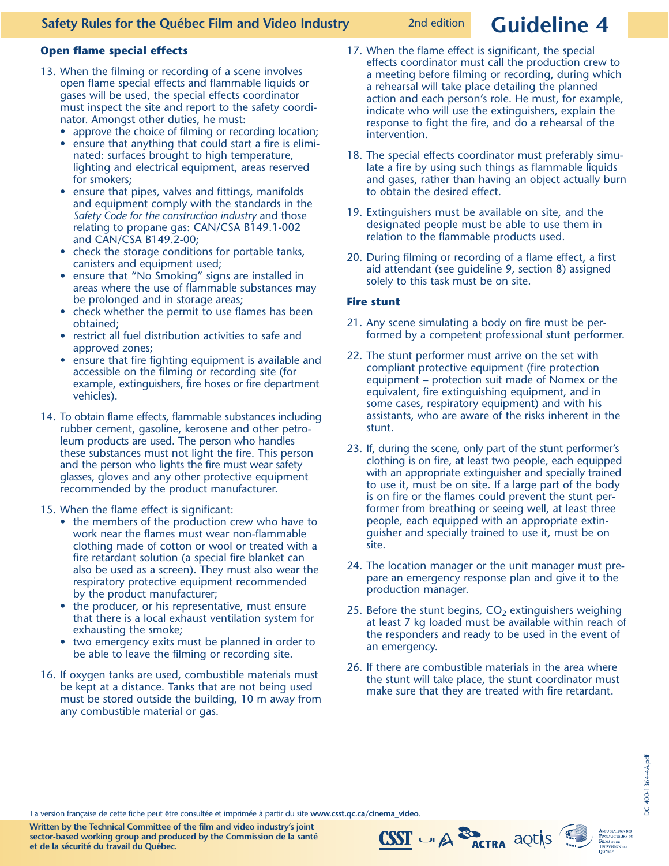#### **Open flame special effects**

- 13. When the filming or recording of a scene involves open flame special effects and flammable liquids or gases will be used, the special effects coordinator must inspect the site and report to the safety coordinator. Amongst other duties, he must:
	- approve the choice of filming or recording location;
	- ensure that anything that could start a fire is eliminated: surfaces brought to high temperature, lighting and electrical equipment, areas reserved for smokers;
	- ensure that pipes, valves and fittings, manifolds and equipment comply with the standards in the *Safety Code for the construction industry* and those relating to propane gas: CAN/CSA B149.1-002 and CAN/CSA B149.2-00;
	- check the storage conditions for portable tanks, canisters and equipment used;
	- ensure that "No Smoking" signs are installed in areas where the use of flammable substances may be prolonged and in storage areas;
	- check whether the permit to use flames has been obtained;
	- restrict all fuel distribution activities to safe and approved zones;
	- ensure that fire fighting equipment is available and accessible on the filming or recording site (for example, extinguishers, fire hoses or fire department vehicles).
- 14. To obtain flame effects, flammable substances including rubber cement, gasoline, kerosene and other petroleum products are used. The person who handles these substances must not light the fire. This person and the person who lights the fire must wear safety glasses, gloves and any other protective equipment recommended by the product manufacturer.
- 15. When the flame effect is significant:
	- the members of the production crew who have to work near the flames must wear non-flammable clothing made of cotton or wool or treated with a fire retardant solution (a special fire blanket can also be used as a screen). They must also wear the respiratory protective equipment recommended by the product manufacturer;
	- the producer, or his representative, must ensure that there is a local exhaust ventilation system for exhausting the smoke;
	- two emergency exits must be planned in order to be able to leave the filming or recording site.
- 16. If oxygen tanks are used, combustible materials must be kept at a distance. Tanks that are not being used must be stored outside the building, 10 m away from any combustible material or gas.
- 17. When the flame effect is significant, the special effects coordinator must call the production crew to a meeting before filming or recording, during which a rehearsal will take place detailing the planned action and each person's role. He must, for example, indicate who will use the extinguishers, explain the response to fight the fire, and do a rehearsal of the intervention.
- 18. The special effects coordinator must preferably simulate a fire by using such things as flammable liquids and gases, rather than having an object actually burn to obtain the desired effect.
- 19. Extinguishers must be available on site, and the designated people must be able to use them in relation to the flammable products used.
- 20. During filming or recording of a flame effect, a first aid attendant (see guideline 9, section 8) assigned solely to this task must be on site.

#### **Fire stunt**

- 21. Any scene simulating a body on fire must be performed by a competent professional stunt performer.
- 22. The stunt performer must arrive on the set with compliant protective equipment (fire protection equipment – protection suit made of Nomex or the equivalent, fire extinguishing equipment, and in some cases, respiratory equipment) and with his assistants, who are aware of the risks inherent in the stunt.
- 23. If, during the scene, only part of the stunt performer's clothing is on fire, at least two people, each equipped with an appropriate extinguisher and specially trained to use it, must be on site. If a large part of the body is on fire or the flames could prevent the stunt performer from breathing or seeing well, at least three people, each equipped with an appropriate extinguisher and specially trained to use it, must be on site.
- 24. The location manager or the unit manager must prepare an emergency response plan and give it to the production manager.
- 25. Before the stunt begins,  $CO<sub>2</sub>$  extinguishers weighing at least 7 kg loaded must be available within reach of the responders and ready to be used in the event of an emergency.
- 26. If there are combustible materials in the area where the stunt will take place, the stunt coordinator must make sure that they are treated with fire retardant.

etter<br>La version française de cette fiche peut être consultée et imprimée à partir du site **www.csst.qc.ca/cinema\_video**.<br>المصري المستخدمة

**Written by the Technical Committee of the film and video industry's joint sector-based working group and produced by the Commission de la santé et de la sécurité du travail du Québec.**



## 2nd edition **Guideline 4**